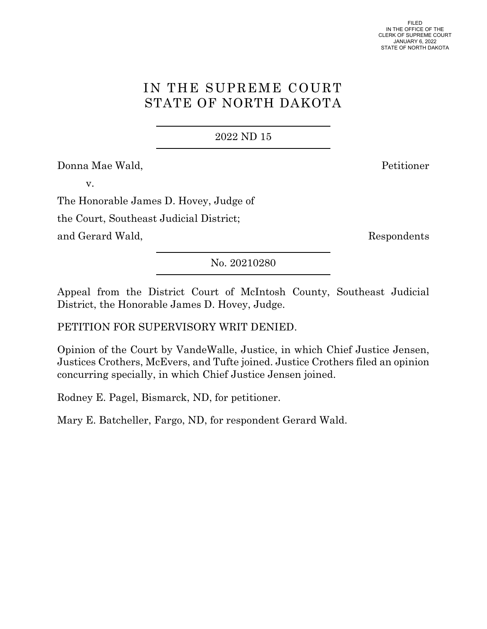# IN THE SUPREME COURT STATE OF NORTH DAKOTA

2022 ND 15

Donna Mae Wald, Petitioner

v.

The Honorable James D. Hovey, Judge of

the Court, Southeast Judicial District;

and Gerard Wald, Respondents

No. 20210280

Appeal from the District Court of McIntosh County, Southeast Judicial District, the Honorable James D. Hovey, Judge.

PETITION FOR SUPERVISORY WRIT DENIED.

Opinion of the Court by VandeWalle, Justice, in which Chief Justice Jensen, Justices Crothers, McEvers, and Tufte joined. Justice Crothers filed an opinion concurring specially, in which Chief Justice Jensen joined.

Rodney E. Pagel, Bismarck, ND, for petitioner.

Mary E. Batcheller, Fargo, ND, for respondent Gerard Wald.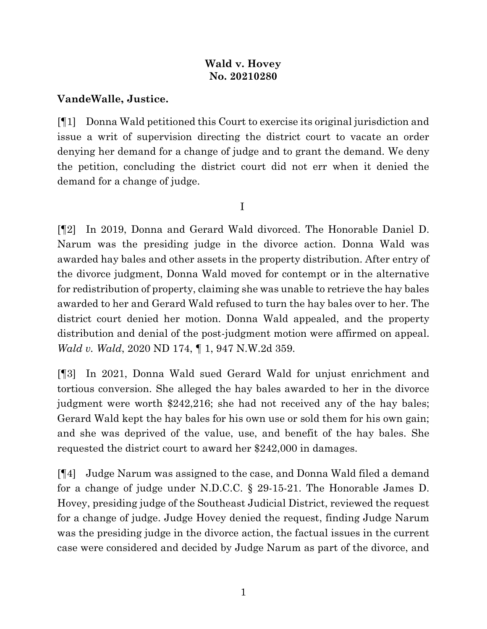# **Wald v. Hovey No. 20210280**

## **VandeWalle, Justice.**

[¶1] Donna Wald petitioned this Court to exercise its original jurisdiction and issue a writ of supervision directing the district court to vacate an order denying her demand for a change of judge and to grant the demand. We deny the petition, concluding the district court did not err when it denied the demand for a change of judge.

I

[¶2] In 2019, Donna and Gerard Wald divorced. The Honorable Daniel D. Narum was the presiding judge in the divorce action. Donna Wald was awarded hay bales and other assets in the property distribution. After entry of the divorce judgment, Donna Wald moved for contempt or in the alternative for redistribution of property, claiming she was unable to retrieve the hay bales awarded to her and Gerard Wald refused to turn the hay bales over to her. The district court denied her motion. Donna Wald appealed, and the property distribution and denial of the post-judgment motion were affirmed on appeal. *Wald v. Wald*, 2020 ND 174, ¶ 1, 947 N.W.2d 359.

[¶3] In 2021, Donna Wald sued Gerard Wald for unjust enrichment and tortious conversion. She alleged the hay bales awarded to her in the divorce judgment were worth \$242,216; she had not received any of the hay bales; Gerard Wald kept the hay bales for his own use or sold them for his own gain; and she was deprived of the value, use, and benefit of the hay bales. She requested the district court to award her \$242,000 in damages.

[¶4] Judge Narum was assigned to the case, and Donna Wald filed a demand for a change of judge under N.D.C.C. § 29-15-21. The Honorable James D. Hovey, presiding judge of the Southeast Judicial District, reviewed the request for a change of judge. Judge Hovey denied the request, finding Judge Narum was the presiding judge in the divorce action, the factual issues in the current case were considered and decided by Judge Narum as part of the divorce, and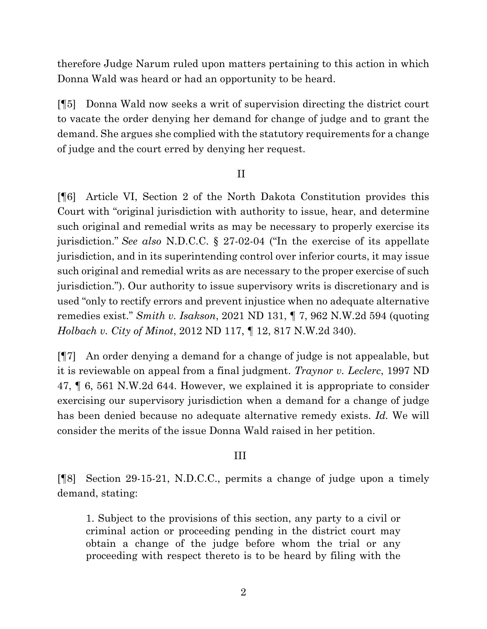therefore Judge Narum ruled upon matters pertaining to this action in which Donna Wald was heard or had an opportunity to be heard.

[¶5] Donna Wald now seeks a writ of supervision directing the district court to vacate the order denying her demand for change of judge and to grant the demand. She argues she complied with the statutory requirements for a change of judge and the court erred by denying her request.

#### II

[¶6] Article VI, Section 2 of the North Dakota Constitution provides this Court with "original jurisdiction with authority to issue, hear, and determine such original and remedial writs as may be necessary to properly exercise its jurisdiction." *See also* N.D.C.C. § 27-02-04 ("In the exercise of its appellate jurisdiction, and in its superintending control over inferior courts, it may issue such original and remedial writs as are necessary to the proper exercise of such jurisdiction."). Our authority to issue supervisory writs is discretionary and is used "only to rectify errors and prevent injustice when no adequate alternative remedies exist." *Smith v. Isakson*, 2021 ND 131, ¶ 7, 962 N.W.2d 594 (quoting *Holbach v. City of Minot*, 2012 ND 117, ¶ 12, 817 N.W.2d 340).

[¶7] An order denying a demand for a change of judge is not appealable, but it is reviewable on appeal from a final judgment. *Traynor v. Leclerc*, 1997 ND 47, ¶ 6, 561 N.W.2d 644. However, we explained it is appropriate to consider exercising our supervisory jurisdiction when a demand for a change of judge has been denied because no adequate alternative remedy exists. *Id.* We will consider the merits of the issue Donna Wald raised in her petition.

#### III

[¶8] Section 29-15-21, N.D.C.C., permits a change of judge upon a timely demand, stating:

1. Subject to the provisions of this section, any party to a civil or criminal action or proceeding pending in the district court may obtain a change of the judge before whom the trial or any proceeding with respect thereto is to be heard by filing with the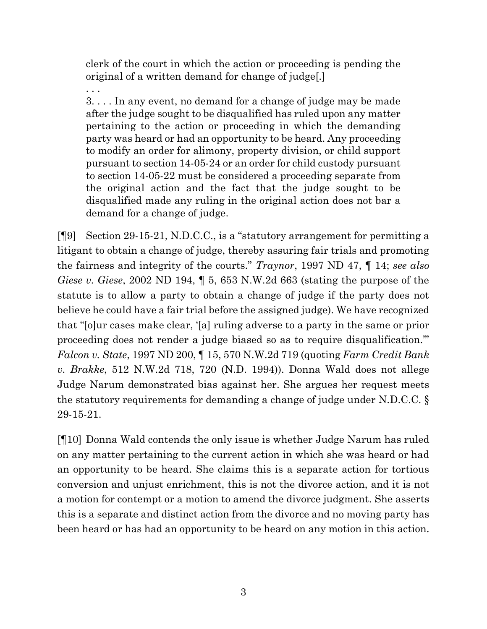clerk of the court in which the action or proceeding is pending the original of a written demand for change of judge[.]

. . . 3. . . . In any event, no demand for a change of judge may be made after the judge sought to be disqualified has ruled upon any matter pertaining to the action or proceeding in which the demanding party was heard or had an opportunity to be heard. Any proceeding to modify an order for alimony, property division, or child support pursuant to section 14-05-24 or an order for child custody pursuant to section 14-05-22 must be considered a proceeding separate from the original action and the fact that the judge sought to be disqualified made any ruling in the original action does not bar a demand for a change of judge.

[¶9] Section 29-15-21, N.D.C.C., is a "statutory arrangement for permitting a litigant to obtain a change of judge, thereby assuring fair trials and promoting the fairness and integrity of the courts." *Traynor*, 1997 ND 47, ¶ 14; *see also Giese v. Giese*, 2002 ND 194, ¶ 5, 653 N.W.2d 663 (stating the purpose of the statute is to allow a party to obtain a change of judge if the party does not believe he could have a fair trial before the assigned judge). We have recognized that "[o]ur cases make clear, '[a] ruling adverse to a party in the same or prior proceeding does not render a judge biased so as to require disqualification.'" *Falcon v. State*, 1997 ND 200, ¶ 15, 570 N.W.2d 719 (quoting *Farm Credit Bank v. Brakke*, 512 N.W.2d 718, 720 (N.D. 1994)). Donna Wald does not allege Judge Narum demonstrated bias against her. She argues her request meets the statutory requirements for demanding a change of judge under N.D.C.C. § 29-15-21.

[¶10] Donna Wald contends the only issue is whether Judge Narum has ruled on any matter pertaining to the current action in which she was heard or had an opportunity to be heard. She claims this is a separate action for tortious conversion and unjust enrichment, this is not the divorce action, and it is not a motion for contempt or a motion to amend the divorce judgment. She asserts this is a separate and distinct action from the divorce and no moving party has been heard or has had an opportunity to be heard on any motion in this action.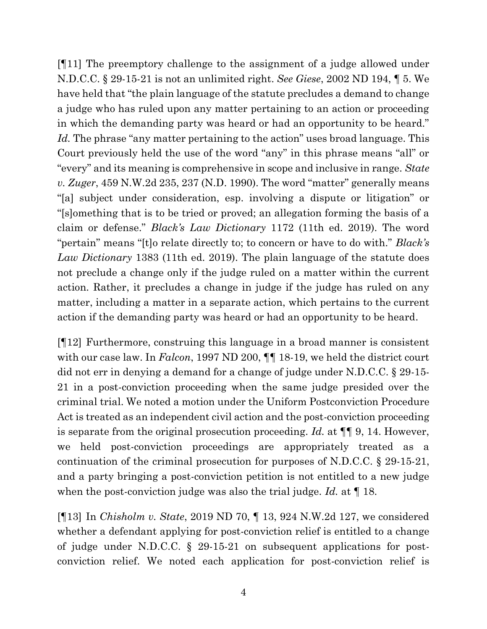[¶11] The preemptory challenge to the assignment of a judge allowed under N.D.C.C. § 29-15-21 is not an unlimited right. *See Giese*, 2002 ND 194, ¶ 5. We have held that "the plain language of the statute precludes a demand to change a judge who has ruled upon any matter pertaining to an action or proceeding in which the demanding party was heard or had an opportunity to be heard." *Id.* The phrase "any matter pertaining to the action" uses broad language. This Court previously held the use of the word "any" in this phrase means "all" or "every" and its meaning is comprehensive in scope and inclusive in range. *State v. Zuger*, 459 N.W.2d 235, 237 (N.D. 1990). The word "matter" generally means "[a] subject under consideration, esp. involving a dispute or litigation" or "[s]omething that is to be tried or proved; an allegation forming the basis of a claim or defense." *Black's Law Dictionary* 1172 (11th ed. 2019). The word "pertain" means "[t]o relate directly to; to concern or have to do with." *Black's Law Dictionary* 1383 (11th ed. 2019). The plain language of the statute does not preclude a change only if the judge ruled on a matter within the current action. Rather, it precludes a change in judge if the judge has ruled on any matter, including a matter in a separate action, which pertains to the current action if the demanding party was heard or had an opportunity to be heard.

[¶12] Furthermore, construing this language in a broad manner is consistent with our case law. In *Falcon*, 1997 ND 200,  $\P\P$  18-19, we held the district court did not err in denying a demand for a change of judge under N.D.C.C. § 29-15- 21 in a post-conviction proceeding when the same judge presided over the criminal trial. We noted a motion under the Uniform Postconviction Procedure Act is treated as an independent civil action and the post-conviction proceeding is separate from the original prosecution proceeding. *Id.* at ¶¶ 9, 14. However, we held post-conviction proceedings are appropriately treated as a continuation of the criminal prosecution for purposes of N.D.C.C. § 29-15-21, and a party bringing a post-conviction petition is not entitled to a new judge when the post-conviction judge was also the trial judge. *Id.* at ¶ 18.

[¶13] In *Chisholm v. State*, 2019 ND 70, ¶ 13, 924 N.W.2d 127, we considered whether a defendant applying for post-conviction relief is entitled to a change of judge under N.D.C.C. § 29-15-21 on subsequent applications for postconviction relief. We noted each application for post-conviction relief is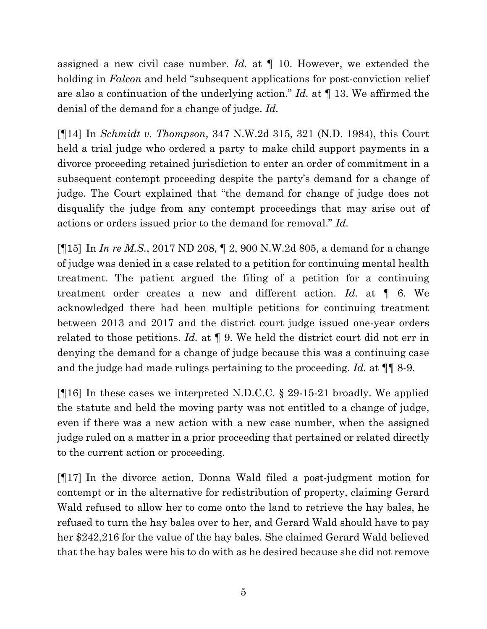assigned a new civil case number. *Id.* at ¶ 10. However, we extended the holding in *Falcon* and held "subsequent applications for post-conviction relief are also a continuation of the underlying action." *Id.* at ¶ 13. We affirmed the denial of the demand for a change of judge. *Id.*

[¶14] In *Schmidt v. Thompson*, 347 N.W.2d 315, 321 (N.D. 1984), this Court held a trial judge who ordered a party to make child support payments in a divorce proceeding retained jurisdiction to enter an order of commitment in a subsequent contempt proceeding despite the party's demand for a change of judge. The Court explained that "the demand for change of judge does not disqualify the judge from any contempt proceedings that may arise out of actions or orders issued prior to the demand for removal." *Id.*

[¶15] In *In re M.S.*, 2017 ND 208, ¶ 2, 900 N.W.2d 805, a demand for a change of judge was denied in a case related to a petition for continuing mental health treatment. The patient argued the filing of a petition for a continuing treatment order creates a new and different action. *Id.* at ¶ 6. We acknowledged there had been multiple petitions for continuing treatment between 2013 and 2017 and the district court judge issued one-year orders related to those petitions. *Id.* at ¶ 9. We held the district court did not err in denying the demand for a change of judge because this was a continuing case and the judge had made rulings pertaining to the proceeding. *Id.* at ¶¶ 8-9.

[¶16] In these cases we interpreted N.D.C.C. § 29-15-21 broadly. We applied the statute and held the moving party was not entitled to a change of judge, even if there was a new action with a new case number, when the assigned judge ruled on a matter in a prior proceeding that pertained or related directly to the current action or proceeding.

[¶17] In the divorce action, Donna Wald filed a post-judgment motion for contempt or in the alternative for redistribution of property, claiming Gerard Wald refused to allow her to come onto the land to retrieve the hay bales, he refused to turn the hay bales over to her, and Gerard Wald should have to pay her \$242,216 for the value of the hay bales. She claimed Gerard Wald believed that the hay bales were his to do with as he desired because she did not remove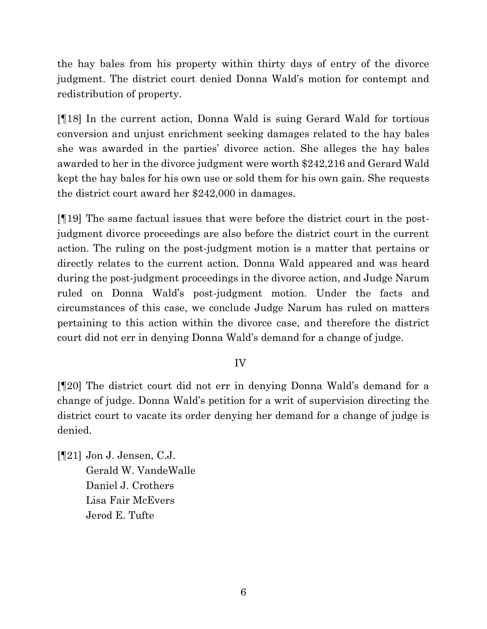the hay bales from his property within thirty days of entry of the divorce judgment. The district court denied Donna Wald's motion for contempt and redistribution of property.

[¶18] In the current action, Donna Wald is suing Gerard Wald for tortious conversion and unjust enrichment seeking damages related to the hay bales she was awarded in the parties' divorce action. She alleges the hay bales awarded to her in the divorce judgment were worth \$242,216 and Gerard Wald kept the hay bales for his own use or sold them for his own gain. She requests the district court award her \$242,000 in damages.

[¶19] The same factual issues that were before the district court in the postjudgment divorce proceedings are also before the district court in the current action. The ruling on the post-judgment motion is a matter that pertains or directly relates to the current action. Donna Wald appeared and was heard during the post-judgment proceedings in the divorce action, and Judge Narum ruled on Donna Wald's post-judgment motion. Under the facts and circumstances of this case, we conclude Judge Narum has ruled on matters pertaining to this action within the divorce case, and therefore the district court did not err in denying Donna Wald's demand for a change of judge.

## IV

[¶20] The district court did not err in denying Donna Wald's demand for a change of judge. Donna Wald's petition for a writ of supervision directing the district court to vacate its order denying her demand for a change of judge is denied.

[¶21] Jon J. Jensen, C.J. Gerald W. VandeWalle Daniel J. Crothers Lisa Fair McEvers Jerod E. Tufte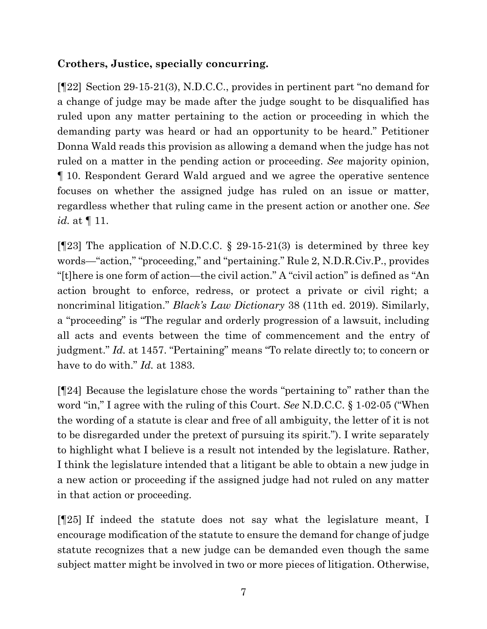# **Crothers, Justice, specially concurring.**

[¶22] Section 29-15-21(3), N.D.C.C., provides in pertinent part "no demand for a change of judge may be made after the judge sought to be disqualified has ruled upon any matter pertaining to the action or proceeding in which the demanding party was heard or had an opportunity to be heard." Petitioner Donna Wald reads this provision as allowing a demand when the judge has not ruled on a matter in the pending action or proceeding. *See* majority opinion, ¶ 10. Respondent Gerard Wald argued and we agree the operative sentence focuses on whether the assigned judge has ruled on an issue or matter, regardless whether that ruling came in the present action or another one. *See id.* at ¶ 11.

[ $[123]$ ] The application of N.D.C.C. § 29-15-21(3) is determined by three key words—"action," "proceeding," and "pertaining." Rule 2, N.D.R.Civ.P., provides "[t]here is one form of action—the civil action." A "civil action" is defined as "An action brought to enforce, redress, or protect a private or civil right; a noncriminal litigation." *Black's Law Dictionary* 38 (11th ed. 2019). Similarly, a "proceeding" is "The regular and orderly progression of a lawsuit, including all acts and events between the time of commencement and the entry of judgment." *Id.* at 1457. "Pertaining" means "To relate directly to; to concern or have to do with." *Id.* at 1383.

[¶24] Because the legislature chose the words "pertaining to" rather than the word "in," I agree with the ruling of this Court. *See* N.D.C.C. § 1-02-05 ("When the wording of a statute is clear and free of all ambiguity, the letter of it is not to be disregarded under the pretext of pursuing its spirit."). I write separately to highlight what I believe is a result not intended by the legislature. Rather, I think the legislature intended that a litigant be able to obtain a new judge in a new action or proceeding if the assigned judge had not ruled on any matter in that action or proceeding.

[¶25] If indeed the statute does not say what the legislature meant, I encourage modification of the statute to ensure the demand for change of judge statute recognizes that a new judge can be demanded even though the same subject matter might be involved in two or more pieces of litigation. Otherwise,